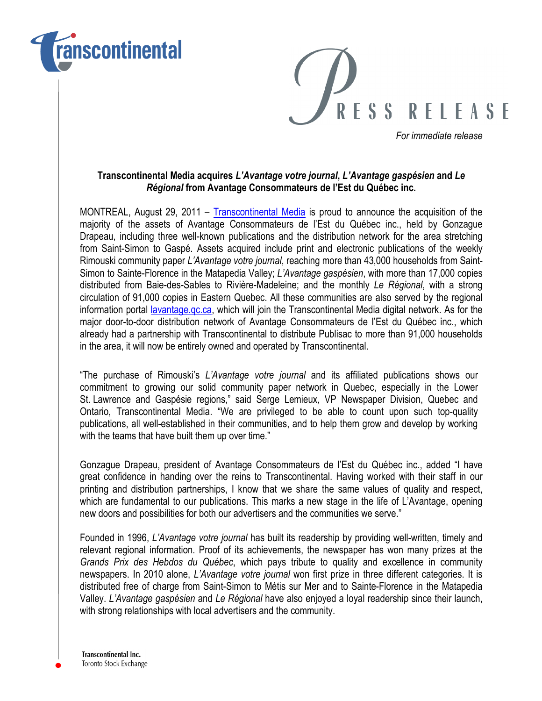



For immediate release

## Transcontinental Media acquires L'Avantage votre journal, L'Avantage gaspésien and Le Régional from Avantage Consommateurs de l'Est du Québec inc.

MONTREAL, August 29, 2011 – Transcontinental Media is proud to announce the acquisition of the majority of the assets of Avantage Consommateurs de l'Est du Québec inc., held by Gonzague Drapeau, including three well-known publications and the distribution network for the area stretching from Saint-Simon to Gaspé. Assets acquired include print and electronic publications of the weekly Rimouski community paper L'Avantage votre journal, reaching more than 43,000 households from Saint-Simon to Sainte-Florence in the Matapedia Valley; L'Avantage gaspésien, with more than 17,000 copies distributed from Baie-des-Sables to Rivière-Madeleine; and the monthly Le Régional, with a strong circulation of 91,000 copies in Eastern Quebec. All these communities are also served by the regional information portal lavantage.gc.ca, which will join the Transcontinental Media digital network. As for the major door-to-door distribution network of Avantage Consommateurs de l'Est du Québec inc., which already had a partnership with Transcontinental to distribute Publisac to more than 91,000 households in the area, it will now be entirely owned and operated by Transcontinental.

"The purchase of Rimouski's L'Avantage votre journal and its affiliated publications shows our commitment to growing our solid community paper network in Quebec, especially in the Lower St. Lawrence and Gaspésie regions," said Serge Lemieux, VP Newspaper Division, Quebec and Ontario, Transcontinental Media. "We are privileged to be able to count upon such top-quality publications, all well-established in their communities, and to help them grow and develop by working with the teams that have built them up over time."

Gonzague Drapeau, president of Avantage Consommateurs de l'Est du Québec inc., added "I have great confidence in handing over the reins to Transcontinental. Having worked with their staff in our printing and distribution partnerships, I know that we share the same values of quality and respect, which are fundamental to our publications. This marks a new stage in the life of L'Avantage, opening new doors and possibilities for both our advertisers and the communities we serve."

Founded in 1996, L'Avantage votre journal has built its readership by providing well-written, timely and relevant regional information. Proof of its achievements, the newspaper has won many prizes at the Grands Prix des Hebdos du Québec, which pays tribute to quality and excellence in community newspapers. In 2010 alone, L'Avantage votre journal won first prize in three different categories. It is distributed free of charge from Saint-Simon to Métis sur Mer and to Sainte-Florence in the Matapedia Valley. L'Avantage gaspésien and Le Régional have also enjoyed a loyal readership since their launch, with strong relationships with local advertisers and the community.